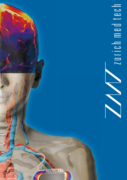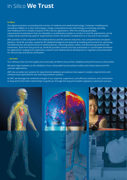# In Silico **We Trust**

# *In Silico*

The digital revolution is extending the frontiers of medicine and medical technology. Computer modeling and simulation (CM&S), or *in silico* technologies, merge computational tools with biology to intuitively, precisely, and reliably perform complex analyses of life sciences applications. With this emerging paradigm, experimental manipulations that are infeasible or prohibitively complex to conduct in real-life experiments can be created while maintaining superior experimental control: the perfect complement to *in vivo* and *in vitro* studies.

ZMT provides *in silico* solutions to the medical device and life sciences industries. Our comprehensive simulation platform, Sim4Life, provides a powerful 3D validated biological and anatomical modeling environment for optimizing the effectiveness and performance of medical devices, improving patient safety, and discovering potential new treatments. Built from the ground up, Sim4Life provides smooth and fully automated or customizable workflows for applications ranging from exploratory research and medical device development to regulatory documentation for clinical trials and device certification.

## *... we trust*

Our software tools are thoroughly and continually verified to ensure their reliability and performance as they evolve.

We place high emphasis on the validation of our computable functionalized models and medical device and life sciences applications.

ZMT also provides test systems for experimental validation procedures that support complex requirements with software tools optimized for test and measurement systems.

At ZMT, we leverage the combined strength of our expertise, experience, cost-effective solutions, and commitment to long and fruitful client relationships to guide you through the long and complex regulatory submission process.

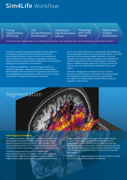# **Sim4Life** Workflow

Posing Segmentation Morphing

**CAD Human Phantoms Discretization** 

**Multiphysics High Performance Solvers** 

Physiology and Tissue Models

**Optimization** Analysis Visualization

OPEN SCRIPTABLE FRAMEWORK WITH A POWERFUL GRAPHICAL USER INTERFACE AND HIGH PERFORMANCE COMPUTING SUPPORT

Sim4Life is the first computational life sciences platform to integrate computable human phantoms with the most powerful physics solvers and the most-advanced tissue models for direct analysis of biological real-world phenomena and complex technical devices in a 3D validated biological and anatomical environment.

All modeling capabilities – from the segmentation of medical image data, anatomical and CAD model import, discretization, and simulation to visualization and analysis – are embedded and streamlined to offer the most versatile and efficient simulation environment possible.

At the core of Sim4Life are the computable, high-fidelity 3D Virtual Population (ViP) human anatomical models. Carefully selected to fully represent global variability in human anatomy, the fully posable, morphable, and validated ViP models, along with the IT'IS tissue properties database, depict 15 different body types with 120 vital anatomical features and over 300 precisely identified tissues and organs.

Sim4Life is designed to simulate the most complex scenarios, and all features have been thoroughly verified and validated to ensure that the results generated accurately and reliably reflect reality and are ready for regulatory submissions.



## **From imaging to modeling**

To enable the delivery of safe and effective medical care, personalized 3D patient models that accurately depict specific anatomical structures are often needed. The manual segmentation of 2D medical image data into 3D structures is time-consuming, subjective, and error-prone.

The fully integrated iSEG toolbox simplifies the segmentation process in Sim4Life. iSEG offers classical segmentation algorithms and dedicated vasculature segmentation approaches with supplemental advanced image pre- and post-processing functions and feature analysis. Automatic and interactive algorithms are embedded in a user-friendly environment and can be flexibly combined. Anatomical reference atlases guide the user through the process. The resulting 3D patient models have smooth non-intersecting surfaces and can be well discretized.

All parts of the segmentation tool pass the highest quality assurance (QA) and verification standards.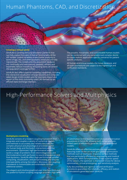# Human Phantoms, CAD, and Discretization

# **Creating a virtual world**

Il variability in the numan anatomy in<br>and anthropometric measures are fully<br>models and the associated database<br>d meticulously undated, refined, and Sim4Life is currently the only simulation platform that can fully exploit the state-of-the-art functionality of the ViP models. Global variability in the human anatomy in terms of age, sex, and anthropometric measures are fully represented. The models and the associated database are continually and meticulously updated, refined, and expanded. Robust morphing and posing tools can extend the population coverage further.

Sim4Life also offers superior modeling capabilities, including the interactive visualization of large datasets and computeraided design (CAD) models and the seamless import and export of the most commonly used CAD formats by an efficient data-exchange interface.

The posable, morphable, and customizable human models can be combined with any parameterized complex device to create realistic application-specific scenarios for patientspecific analyses.

All human anatomical models, the tissue database, and all tools and features are subject to the highest QA and verification standards.

# High-Performance Solvers and Multiphysics

### **Multiphysics modeling**

Sim4Life consists of a modern coupling framework that integrates and couples a variety of numerical models and methods to accurately and reliably simulate the complex physical and physiological processes within the human body and the body's interactions with the environment. Optimized, high-performance solvers tackle a range of problems from electromagnetics and thermodynamics with perfusion to sound propagation and fluid dynamics. Sim4Life offers high-performance parallel computing, visualization, and postprocessing and ensures interoperability among the solvers. Moreover, the coupling framework is customizable and extendable through additional solvers.

The elegant and intuitive graphical user interface (GUI) and the powerful Python scripting language provide a high level of automation to the reconstruction and parameterization procedures in Sim4Life, allowing both skilled and nonskilled users to efficiently generate 3D CAD anatomical models.

Sim4Life offers an effective and easy-to-use optimizer, featuring state-of-the-art multi-goal global optimization methods such as stochastic response surface methods that are particularly efficient for engineering and medical applications. With full exploitation of the superior speed of the solvers, the optimizer is the tool of choice for device optimization, virtual prototyping, and sensitivity analysis.

Fully documented and rigorous QA and verification procedures guarantee the reliability, efficacy, and realism of simulations generated with Sim4Life.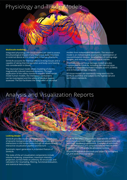# Physiology and Tissue Models

### **Multiscale modeling**

Integrated physiology and tissue models are used to assess the physiological impact of any implanted, body-mounted, or external device at the tissue level in human phantoms.

Sim4Life accounts for thermal effects in living tissues and is capable of taking thermoregulation and body-core heating into consideration in blood.

The neuronal tissue model allows modeling of electromagnetically induced neuronal dynamics. Through application of the safety-standard-relevant SENN model inside human models, the interaction mechanisms can be investigated and the safety of medical devices assessed. The GUI facilitates the integration of neuronal

models from independent databases. The neuronal model is an indispensable assistant for optimization of neurostimulation devices, development of cutting-edge designs, and reducing costs and time to market.

Thermally induced tissue damage models are also incorporated in Sim4Life, including the thermal-dose model of cumulative equivalent minutes at 43°C (CEM43) and Arrhenius damage integrals.

All tissue models are seamlessly integrated into the Sim4Life workflow and subject to the highest QA and verification standards.

# Analysis and Visualization Reports

### **Looking deeper**

Sim4Life provides maximum insight into the complexities of dynamic biological and physiological processes and interactions in the human body through an advanced and interactive visualization pipeline architecture.

Automatic report generation is a standard feature of Sim4Life.

The state-of-the-art visualization components include volume rendering, streamlines, maximum intensity projection, surface fields on arbitrary 3D structures, and calculators for resampling, filtering, functional evaluation, and statistical data analysis.

Sim4Life also offers unique application-specific analysis tools that allow users to perform required assessments and fast-track regulatory submissions. Examples of such tools include IMAnalytics, pre-computed induced field libraries (MRIxViP1.5T/3.0T), and a 5G simulation toolbox.

All analysis and extraction tools are subject to the highest QA and verification standards.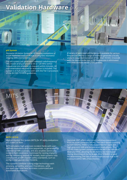# **Validation Hardware** piX

# **piX System**

*Piecewise eXcitation System for RF-heating evaluations of active implanted medical devices in magnetic resonance imaging (MRI) environments*

The piX system can generate a validated radiofrequency (RF) model of any implant at 64 or 128 MHz (other frequencies are available on request) within minutes. All instrumentation required for evaluation is included. The system is in full compliance with with the Tier 3 procedure of the IEC/ISO TS10974 guidelines.

A variety of optimized piX Exciters are available for various frequencies and for a range of media to generate a locally uniform tangential excitation of less than 10 mm. Crosstalk with the device under test at RF frequencies is eliminated with time-domain sensor (TDS) probes.

出票

# **MITS**

# **MITS 1.5/3.0**

*Medical Implant Test System (MITS) for RF safety evaluations at 1.5 and 3.0 Tesla*

MITS simulates high-precision incident fields with userdefined modulation and time sequences, as generated by commercial MRI scanners, and also enables worst-case incident field conditions. Optimized for testing implants and for validating implant RF models, both systems fully comply with all MRI implant safety standards, such as ASTM F 2182 and IEC/ISO TS10974.

The systems combine cutting-edge technology with accuracy, versatility, and user-friendliness, while the open user interface facilitates customized and automated evaluations.

Optional: ZMT offers additional metrology equipment from its sister company SPEAG. The robot-based scanning system DASY52 AIMD is fully supported for rapid and high-precision SAR and temperature evaluations. The TDS B1-Field System complements the MITS for test-field diversity (TFD), allowing the B1 field to be monitored during shimming of the birdcage. RFoF1P4MED is used for determining the risk of device malfunction due to RF exposure within MRI environments.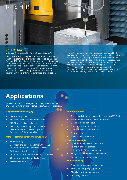# MITS-HFR

# **MITS HFR 1.5/3.0**

*MITS High-Field Resonators (HFR) at 1.5 and 3.0 Tesla*

ZMT's high E-field strength resonators (HFR) complement the MITS systems and are designed to support simplified Tier 1 and Tier 2 testing of implantable medical devices as defined in the ISO/IEC standard TS 10974 Ed.2. The MITS-HFR system enables evaluation of short implants (<100 mm) directly at the maximum peak and root-mean-square (rms) electric (E-) field strengths without the need for scaling and/or implant model generation and validation.

The test conditions that allow access to these simplified assessments cannot typically be met with any other testing environment. ZMT is uniquely able to provide equipment for these field strengths at both 1.5 and 3 T. The resonators can be integrated with any existing MITS System. MITS-HFR1.5 and MITS-HFR3.0 have been rigorously validated. Each system can be used as a stand-alone or with the DASY6 AIMD scanner for rapid and high-precision specific absorption rate (SAR) and temperature evaluation.

# **Applications**

Sim4Life provides a flexible, customizable, and extendable environment for a myriad of complex biomedical applications.

# **Magnetic resonance imaging**

- MRI scanning safety
- MRI sequence design and optimization
- MRI RF and gradient coil design
- MRI safety of active implanted medical devices (AIMD) and passive implants (heating and EM compatibility)

# **Wireless communication and power transfer**

- Antenna design
- Dosimetry and safety standards with respect to neural stimulation and thermal doses
- Body-area-network design
- Communication with implanted medical devices
- Charging of implanted medical devices
- Wireless endoscopy

# **Neural stimulation**

- Transcranial electric and magnetic stimulation (TES, TMS)
- Transcutaneous electric nerve stimulation
- Deep brain stimulation (DBS)
- Functional electric stimulations
- Neural implants, electroceuticals
- Neuroprosthetics
- Low-frequency EM safety

# **Medical treatments**

- Hyperthermia for cancer treatment
- RF and microwave ablation
- High intensity focused ultrasound
- Analysis of vascular flows and biofluidics
- Stent design and optimization

# **Human modeling**

- Segmentation of medical image data
- Posing and morphing of phantoms
- Modeling for treatment planning
- Image registration